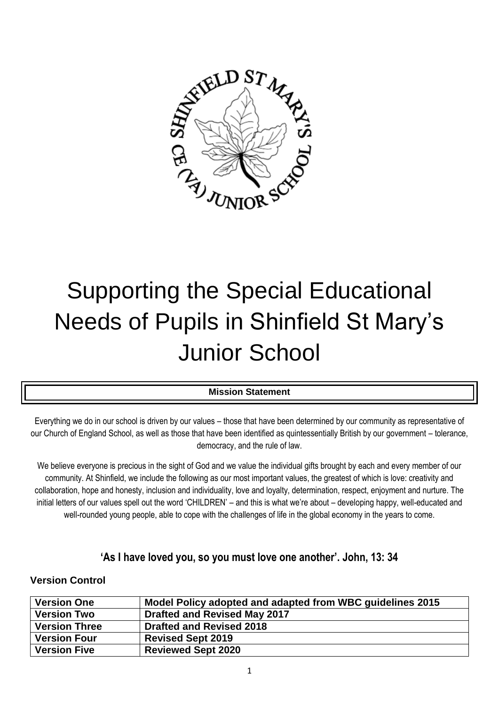

# Supporting the Special Educational Needs of Pupils in Shinfield St Mary's Junior School

#### **Mission Statement**

Everything we do in our school is driven by our values – those that have been determined by our community as representative of our Church of England School, as well as those that have been identified as quintessentially British by our government – tolerance, democracy, and the rule of law.

We believe everyone is precious in the sight of God and we value the individual gifts brought by each and every member of our community. At Shinfield, we include the following as our most important values, the greatest of which is love: creativity and collaboration, hope and honesty, inclusion and individuality, love and loyalty, determination, respect, enjoyment and nurture. The initial letters of our values spell out the word 'CHILDREN' – and this is what we're about – developing happy, well-educated and well-rounded young people, able to cope with the challenges of life in the global economy in the years to come.

#### **'As I have loved you, so you must love one another'. John, 13: 34**

#### **Version Control**

| <b>Version One</b>   | Model Policy adopted and adapted from WBC guidelines 2015 |
|----------------------|-----------------------------------------------------------|
| <b>Version Two</b>   | Drafted and Revised May 2017                              |
| <b>Version Three</b> | <b>Drafted and Revised 2018</b>                           |
| <b>Version Four</b>  | <b>Revised Sept 2019</b>                                  |
| <b>Version Five</b>  | <b>Reviewed Sept 2020</b>                                 |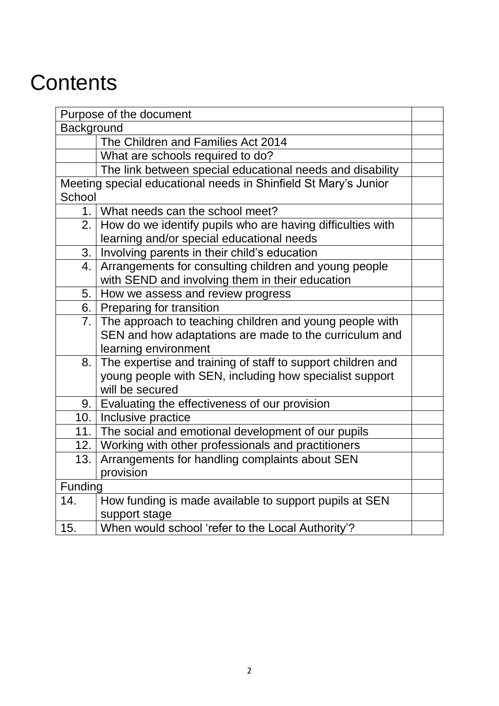## **Contents**

| Purpose of the document |                                                                 |  |  |  |  |  |
|-------------------------|-----------------------------------------------------------------|--|--|--|--|--|
| Background              |                                                                 |  |  |  |  |  |
|                         | The Children and Families Act 2014                              |  |  |  |  |  |
|                         | What are schools required to do?                                |  |  |  |  |  |
|                         | The link between special educational needs and disability       |  |  |  |  |  |
|                         | Meeting special educational needs in Shinfield St Mary's Junior |  |  |  |  |  |
| School                  |                                                                 |  |  |  |  |  |
| 1.1                     | What needs can the school meet?                                 |  |  |  |  |  |
| 2.                      | How do we identify pupils who are having difficulties with      |  |  |  |  |  |
|                         | learning and/or special educational needs                       |  |  |  |  |  |
| 3.                      | Involving parents in their child's education                    |  |  |  |  |  |
| 4.                      | Arrangements for consulting children and young people           |  |  |  |  |  |
|                         | with SEND and involving them in their education                 |  |  |  |  |  |
| 5.                      | How we assess and review progress                               |  |  |  |  |  |
|                         | 6.   Preparing for transition                                   |  |  |  |  |  |
| 7.                      | The approach to teaching children and young people with         |  |  |  |  |  |
|                         | SEN and how adaptations are made to the curriculum and          |  |  |  |  |  |
|                         | learning environment                                            |  |  |  |  |  |
| 8.                      | The expertise and training of staff to support children and     |  |  |  |  |  |
|                         | young people with SEN, including how specialist support         |  |  |  |  |  |
|                         | will be secured                                                 |  |  |  |  |  |
| 9.                      | Evaluating the effectiveness of our provision                   |  |  |  |  |  |
| 10.                     | Inclusive practice                                              |  |  |  |  |  |
| 11.                     | The social and emotional development of our pupils              |  |  |  |  |  |
| 12.                     | Working with other professionals and practitioners              |  |  |  |  |  |
|                         | 13.<br>Arrangements for handling complaints about SEN           |  |  |  |  |  |
|                         | provision                                                       |  |  |  |  |  |
| Funding                 |                                                                 |  |  |  |  |  |
| 14.                     | How funding is made available to support pupils at SEN          |  |  |  |  |  |
|                         | support stage                                                   |  |  |  |  |  |
| 15.                     | When would school 'refer to the Local Authority'?               |  |  |  |  |  |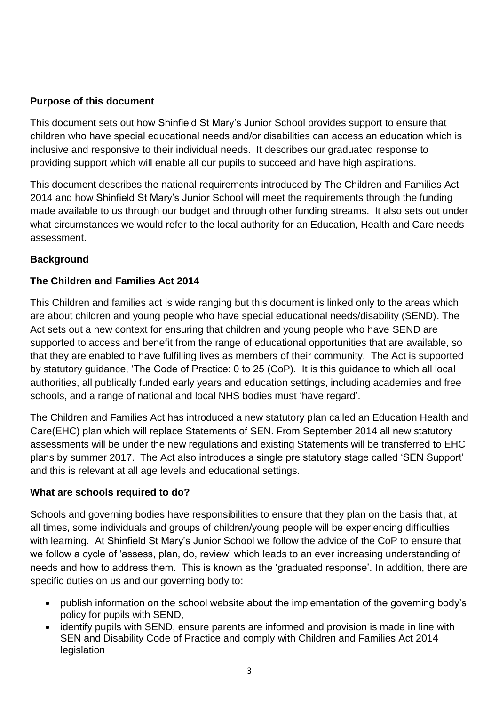#### **Purpose of this document**

This document sets out how Shinfield St Mary's Junior School provides support to ensure that children who have special educational needs and/or disabilities can access an education which is inclusive and responsive to their individual needs. It describes our graduated response to providing support which will enable all our pupils to succeed and have high aspirations.

This document describes the national requirements introduced by The Children and Families Act 2014 and how Shinfield St Mary's Junior School will meet the requirements through the funding made available to us through our budget and through other funding streams. It also sets out under what circumstances we would refer to the local authority for an Education, Health and Care needs assessment.

#### **Background**

#### **The Children and Families Act 2014**

This Children and families act is wide ranging but this document is linked only to the areas which are about children and young people who have special educational needs/disability (SEND). The Act sets out a new context for ensuring that children and young people who have SEND are supported to access and benefit from the range of educational opportunities that are available, so that they are enabled to have fulfilling lives as members of their community. The Act is supported by statutory guidance, 'The Code of Practice: 0 to 25 (CoP). It is this guidance to which all local authorities, all publically funded early years and education settings, including academies and free schools, and a range of national and local NHS bodies must 'have regard'.

The Children and Families Act has introduced a new statutory plan called an Education Health and Care(EHC) plan which will replace Statements of SEN. From September 2014 all new statutory assessments will be under the new regulations and existing Statements will be transferred to EHC plans by summer 2017. The Act also introduces a single pre statutory stage called 'SEN Support' and this is relevant at all age levels and educational settings.

#### **What are schools required to do?**

Schools and governing bodies have responsibilities to ensure that they plan on the basis that, at all times, some individuals and groups of children/young people will be experiencing difficulties with learning. At Shinfield St Mary's Junior School we follow the advice of the CoP to ensure that we follow a cycle of 'assess, plan, do, review' which leads to an ever increasing understanding of needs and how to address them. This is known as the 'graduated response'. In addition, there are specific duties on us and our governing body to:

- publish information on the school website about the implementation of the governing body's policy for pupils with SEND,
- identify pupils with SEND, ensure parents are informed and provision is made in line with SEN and Disability Code of Practice and comply with Children and Families Act 2014 legislation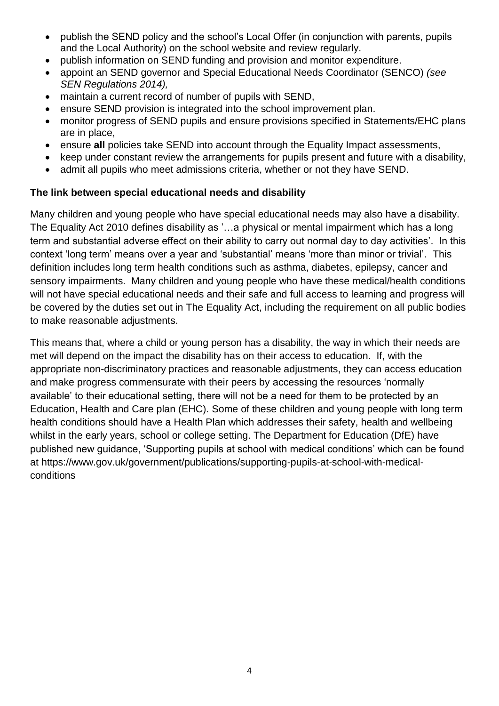- publish the SEND policy and the school's Local Offer (in conjunction with parents, pupils and the Local Authority) on the school website and review regularly.
- publish information on SEND funding and provision and monitor expenditure.
- appoint an SEND governor and Special Educational Needs Coordinator (SENCO) *(see SEN Regulations 2014),*
- maintain a current record of number of pupils with SEND,
- ensure SEND provision is integrated into the school improvement plan.
- monitor progress of SEND pupils and ensure provisions specified in Statements/EHC plans are in place,
- ensure **all** policies take SEND into account through the Equality Impact assessments,
- keep under constant review the arrangements for pupils present and future with a disability,
- admit all pupils who meet admissions criteria, whether or not they have SEND.

#### **The link between special educational needs and disability**

Many children and young people who have special educational needs may also have a disability. The Equality Act 2010 defines disability as '…a physical or mental impairment which has a long term and substantial adverse effect on their ability to carry out normal day to day activities'. In this context 'long term' means over a year and 'substantial' means 'more than minor or trivial'. This definition includes long term health conditions such as asthma, diabetes, epilepsy, cancer and sensory impairments. Many children and young people who have these medical/health conditions will not have special educational needs and their safe and full access to learning and progress will be covered by the duties set out in The Equality Act, including the requirement on all public bodies to make reasonable adjustments.

This means that, where a child or young person has a disability, the way in which their needs are met will depend on the impact the disability has on their access to education. If, with the appropriate non-discriminatory practices and reasonable adjustments, they can access education and make progress commensurate with their peers by accessing the resources 'normally available' to their educational setting, there will not be a need for them to be protected by an Education, Health and Care plan (EHC). Some of these children and young people with long term health conditions should have a Health Plan which addresses their safety, health and wellbeing whilst in the early years, school or college setting. The Department for Education (DfE) have published new guidance, 'Supporting pupils at school with medical conditions' which can be found at https://www.gov.uk/government/publications/supporting-pupils-at-school-with-medicalconditions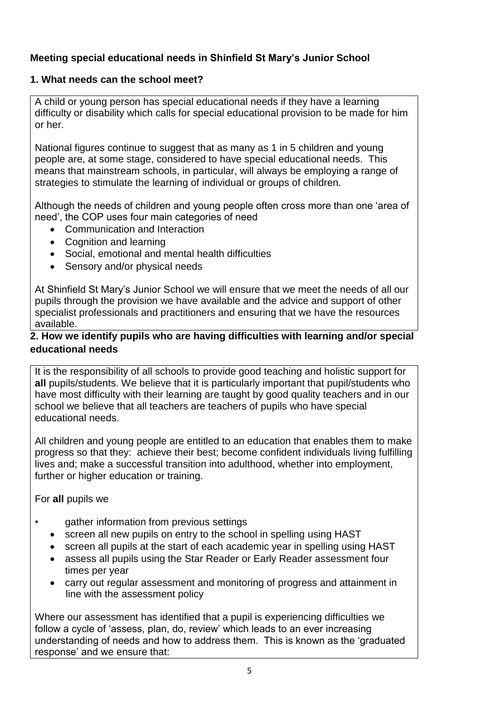#### **Meeting special educational needs in Shinfield St Mary's Junior School**

#### **1. What needs can the school meet?**

A child or young person has special educational needs if they have a learning difficulty or disability which calls for special educational provision to be made for him or her.

National figures continue to suggest that as many as 1 in 5 children and young people are, at some stage, considered to have special educational needs. This means that mainstream schools, in particular, will always be employing a range of strategies to stimulate the learning of individual or groups of children.

Although the needs of children and young people often cross more than one 'area of need', the COP uses four main categories of need

- Communication and Interaction
- Cognition and learning
- Social, emotional and mental health difficulties
- Sensory and/or physical needs

At Shinfield St Mary's Junior School we will ensure that we meet the needs of all our pupils through the provision we have available and the advice and support of other specialist professionals and practitioners and ensuring that we have the resources available.

#### **2. How we identify pupils who are having difficulties with learning and/or special educational needs**

It is the responsibility of all schools to provide good teaching and holistic support for **all** pupils/students. We believe that it is particularly important that pupil/students who have most difficulty with their learning are taught by good quality teachers and in our school we believe that all teachers are teachers of pupils who have special educational needs.

All children and young people are entitled to an education that enables them to make progress so that they: achieve their best; become confident individuals living fulfilling lives and; make a successful transition into adulthood, whether into employment, further or higher education or training.

For **all** pupils we

- gather information from previous settings
	- screen all new pupils on entry to the school in spelling using HAST
	- screen all pupils at the start of each academic year in spelling using HAST
	- assess all pupils using the Star Reader or Early Reader assessment four times per year
	- carry out regular assessment and monitoring of progress and attainment in line with the assessment policy

Where our assessment has identified that a pupil is experiencing difficulties we follow a cycle of 'assess, plan, do, review' which leads to an ever increasing understanding of needs and how to address them. This is known as the 'graduated response' and we ensure that: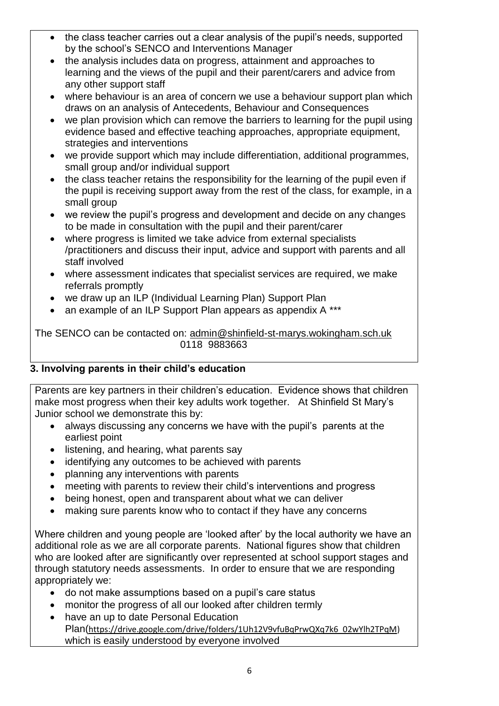- the class teacher carries out a clear analysis of the pupil's needs, supported by the school's SENCO and Interventions Manager
- the analysis includes data on progress, attainment and approaches to learning and the views of the pupil and their parent/carers and advice from any other support staff
- where behaviour is an area of concern we use a behaviour support plan which draws on an analysis of Antecedents, Behaviour and Consequences
- we plan provision which can remove the barriers to learning for the pupil using evidence based and effective teaching approaches, appropriate equipment, strategies and interventions
- we provide support which may include differentiation, additional programmes, small group and/or individual support
- the class teacher retains the responsibility for the learning of the pupil even if the pupil is receiving support away from the rest of the class, for example, in a small group
- we review the pupil's progress and development and decide on any changes to be made in consultation with the pupil and their parent/carer
- where progress is limited we take advice from external specialists /practitioners and discuss their input, advice and support with parents and all staff involved
- where assessment indicates that specialist services are required, we make referrals promptly
- we draw up an ILP (Individual Learning Plan) Support Plan
- an example of an ILP Support Plan appears as appendix A \*\*\*

The SENCO can be contacted on: [admin@shinfield-st-marys.wokingham.sch.uk](mailto:admin@shinfield-st-marys.wokingham.sch.uk) 0118 9883663

#### **3. Involving parents in their child's education**

Parents are key partners in their children's education. Evidence shows that children make most progress when their key adults work together. At Shinfield St Mary's Junior school we demonstrate this by:

- always discussing any concerns we have with the pupil's parents at the earliest point
- listening, and hearing, what parents say
- identifying any outcomes to be achieved with parents
- planning any interventions with parents
- meeting with parents to review their child's interventions and progress
- being honest, open and transparent about what we can deliver
- making sure parents know who to contact if they have any concerns

Where children and young people are 'looked after' by the local authority we have an additional role as we are all corporate parents. National figures show that children who are looked after are significantly over represented at school support stages and through statutory needs assessments. In order to ensure that we are responding appropriately we:

- do not make assumptions based on a pupil's care status
- monitor the progress of all our looked after children termly
- have an up to date Personal Education Plan([https://drive.google.com/drive/folders/1Uh12V9vfuBqPrwQXq7k6\\_02wYlh2TPqM\)](https://drive.google.com/drive/folders/1Uh12V9vfuBqPrwQXq7k6_02wYlh2TPqM) which is easily understood by everyone involved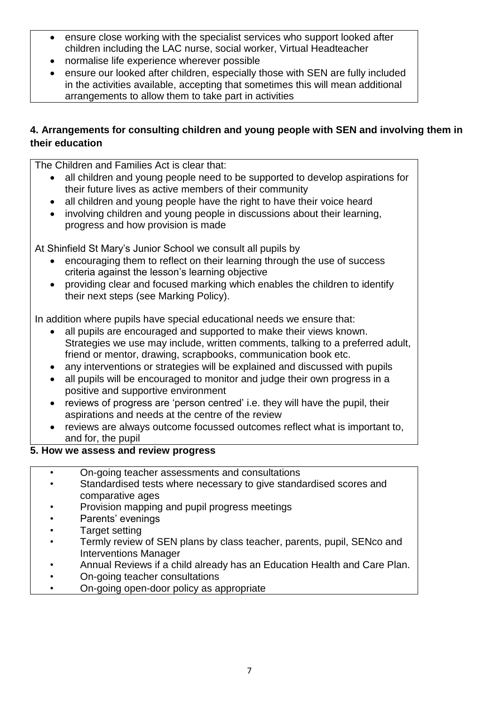- ensure close working with the specialist services who support looked after children including the LAC nurse, social worker, Virtual Headteacher
- normalise life experience wherever possible
- ensure our looked after children, especially those with SEN are fully included in the activities available, accepting that sometimes this will mean additional arrangements to allow them to take part in activities

#### **4. Arrangements for consulting children and young people with SEN and involving them in their education**

The Children and Families Act is clear that:

- all children and young people need to be supported to develop aspirations for their future lives as active members of their community
- all children and young people have the right to have their voice heard
- involving children and young people in discussions about their learning, progress and how provision is made

At Shinfield St Mary's Junior School we consult all pupils by

- encouraging them to reflect on their learning through the use of success criteria against the lesson's learning objective
- providing clear and focused marking which enables the children to identify their next steps (see Marking Policy).

In addition where pupils have special educational needs we ensure that:

- all pupils are encouraged and supported to make their views known. Strategies we use may include, written comments, talking to a preferred adult, friend or mentor, drawing, scrapbooks, communication book etc.
- any interventions or strategies will be explained and discussed with pupils
- all pupils will be encouraged to monitor and judge their own progress in a positive and supportive environment
- reviews of progress are 'person centred' i.e. they will have the pupil, their aspirations and needs at the centre of the review
- reviews are always outcome focussed outcomes reflect what is important to, and for, the pupil

#### **5. How we assess and review progress**

- On-going teacher assessments and consultations
- Standardised tests where necessary to give standardised scores and comparative ages
- Provision mapping and pupil progress meetings
- Parents' evenings
- Target setting
- Termly review of SEN plans by class teacher, parents, pupil, SENco and Interventions Manager
- Annual Reviews if a child already has an Education Health and Care Plan.
- On-going teacher consultations
- On-going open-door policy as appropriate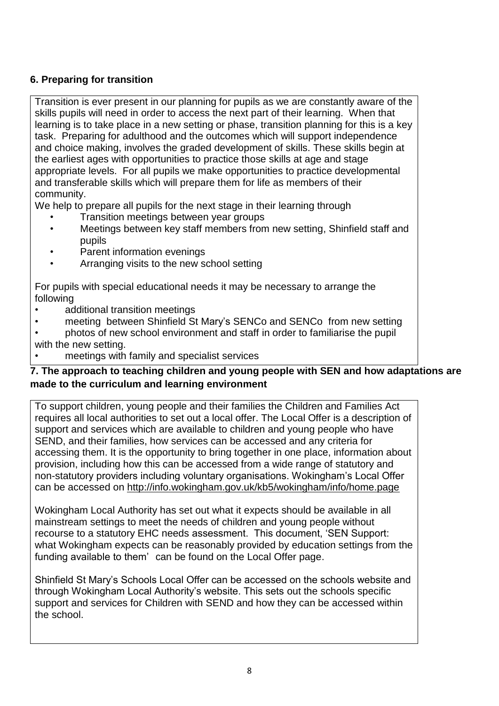#### **6. Preparing for transition**

Transition is ever present in our planning for pupils as we are constantly aware of the skills pupils will need in order to access the next part of their learning. When that learning is to take place in a new setting or phase, transition planning for this is a key task. Preparing for adulthood and the outcomes which will support independence and choice making, involves the graded development of skills. These skills begin at the earliest ages with opportunities to practice those skills at age and stage appropriate levels. For all pupils we make opportunities to practice developmental and transferable skills which will prepare them for life as members of their community.

We help to prepare all pupils for the next stage in their learning through

- Transition meetings between year groups
- Meetings between key staff members from new setting, Shinfield staff and pupils
- Parent information evenings
- Arranging visits to the new school setting

For pupils with special educational needs it may be necessary to arrange the following

- additional transition meetings
- meeting between Shinfield St Mary's SENCo and SENCo from new setting
- photos of new school environment and staff in order to familiarise the pupil with the new setting.
- meetings with family and specialist services

#### **7. The approach to teaching children and young people with SEN and how adaptations are made to the curriculum and learning environment**

To support children, young people and their families the Children and Families Act requires all local authorities to set out a local offer. The Local Offer is a description of support and services which are available to children and young people who have SEND, and their families, how services can be accessed and any criteria for accessing them. It is the opportunity to bring together in one place, information about provision, including how this can be accessed from a wide range of statutory and non-statutory providers including voluntary organisations. Wokingham's Local Offer can be accessed on<http://info.wokingham.gov.uk/kb5/wokingham/info/home.page>

Wokingham Local Authority has set out what it expects should be available in all mainstream settings to meet the needs of children and young people without recourse to a statutory EHC needs assessment. This document, 'SEN Support: what Wokingham expects can be reasonably provided by education settings from the funding available to them' can be found on the Local Offer page.

Shinfield St Mary's Schools Local Offer can be accessed on the schools website and through Wokingham Local Authority's website. This sets out the schools specific support and services for Children with SEND and how they can be accessed within the school.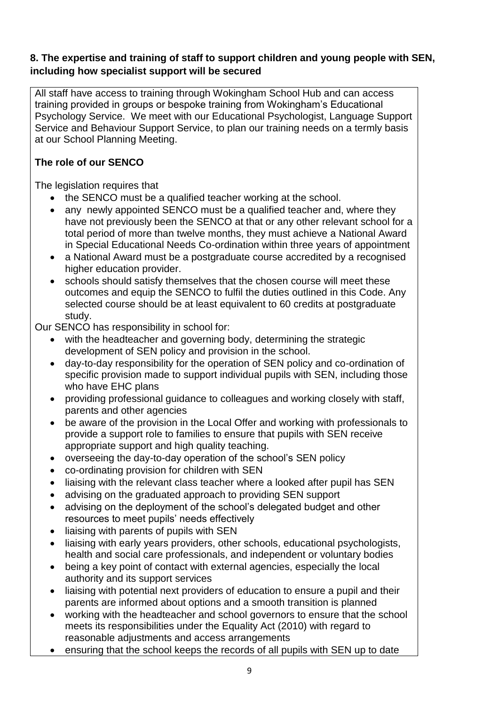#### **8. The expertise and training of staff to support children and young people with SEN, including how specialist support will be secured**

All staff have access to training through Wokingham School Hub and can access training provided in groups or bespoke training from Wokingham's Educational Psychology Service. We meet with our Educational Psychologist, Language Support Service and Behaviour Support Service, to plan our training needs on a termly basis at our School Planning Meeting.

#### **The role of our SENCO**

The legislation requires that

- the SENCO must be a qualified teacher working at the school.
- any newly appointed SENCO must be a qualified teacher and, where they have not previously been the SENCO at that or any other relevant school for a total period of more than twelve months, they must achieve a National Award in Special Educational Needs Co-ordination within three years of appointment
- a National Award must be a postgraduate course accredited by a recognised higher education provider.
- schools should satisfy themselves that the chosen course will meet these outcomes and equip the SENCO to fulfil the duties outlined in this Code. Any selected course should be at least equivalent to 60 credits at postgraduate study.

Our SENCO has responsibility in school for:

- with the headteacher and governing body, determining the strategic development of SEN policy and provision in the school.
- day-to-day responsibility for the operation of SEN policy and co-ordination of specific provision made to support individual pupils with SEN, including those who have EHC plans
- providing professional guidance to colleagues and working closely with staff, parents and other agencies
- be aware of the provision in the Local Offer and working with professionals to provide a support role to families to ensure that pupils with SEN receive appropriate support and high quality teaching.
- overseeing the day-to-day operation of the school's SEN policy
- co-ordinating provision for children with SEN
- liaising with the relevant class teacher where a looked after pupil has SEN
- advising on the graduated approach to providing SEN support
- advising on the deployment of the school's delegated budget and other resources to meet pupils' needs effectively
- liaising with parents of pupils with SEN
- liaising with early years providers, other schools, educational psychologists, health and social care professionals, and independent or voluntary bodies
- being a key point of contact with external agencies, especially the local authority and its support services
- liaising with potential next providers of education to ensure a pupil and their parents are informed about options and a smooth transition is planned
- working with the headteacher and school governors to ensure that the school meets its responsibilities under the Equality Act (2010) with regard to reasonable adjustments and access arrangements
- ensuring that the school keeps the records of all pupils with SEN up to date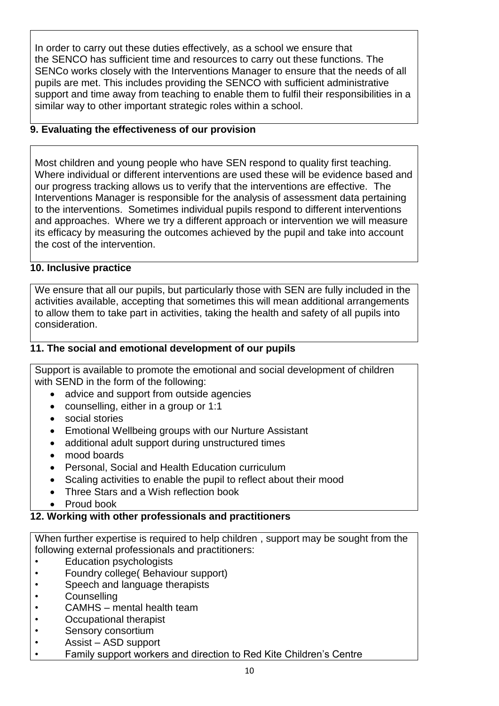In order to carry out these duties effectively, as a school we ensure that the SENCO has sufficient time and resources to carry out these functions. The SENCo works closely with the Interventions Manager to ensure that the needs of all pupils are met. This includes providing the SENCO with sufficient administrative support and time away from teaching to enable them to fulfil their responsibilities in a similar way to other important strategic roles within a school.

#### **9. Evaluating the effectiveness of our provision**

Most children and young people who have SEN respond to quality first teaching. Where individual or different interventions are used these will be evidence based and our progress tracking allows us to verify that the interventions are effective. The Interventions Manager is responsible for the analysis of assessment data pertaining to the interventions. Sometimes individual pupils respond to different interventions and approaches. Where we try a different approach or intervention we will measure its efficacy by measuring the outcomes achieved by the pupil and take into account the cost of the intervention.

#### **10. Inclusive practice**

We ensure that all our pupils, but particularly those with SEN are fully included in the activities available, accepting that sometimes this will mean additional arrangements to allow them to take part in activities, taking the health and safety of all pupils into consideration.

#### **11. The social and emotional development of our pupils**

Support is available to promote the emotional and social development of children with SEND in the form of the following:

- advice and support from outside agencies
- counselling, either in a group or 1:1
- social stories
- Emotional Wellbeing groups with our Nurture Assistant
- additional adult support during unstructured times
- mood boards
- Personal, Social and Health Education curriculum
- Scaling activities to enable the pupil to reflect about their mood
- Three Stars and a Wish reflection book
- Proud book

#### **12. Working with other professionals and practitioners**

When further expertise is required to help children , support may be sought from the following external professionals and practitioners:

- Education psychologists
- Foundry college( Behaviour support)
- Speech and language therapists
- Counselling
- CAMHS mental health team
- Occupational therapist
- Sensory consortium
- Assist ASD support
- Family support workers and direction to Red Kite Children's Centre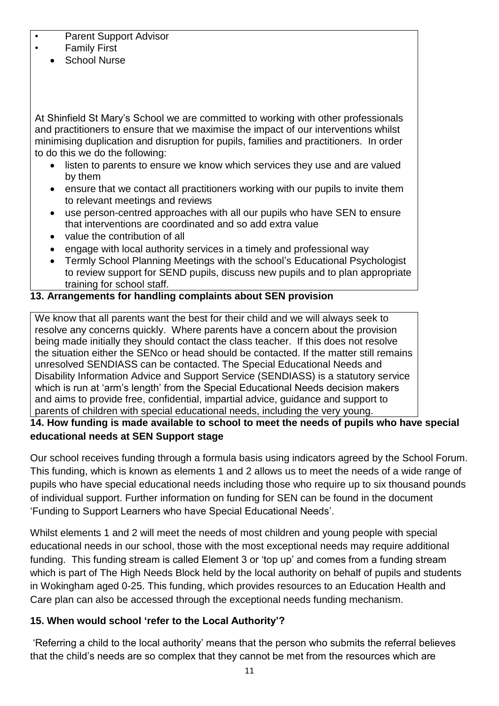- Parent Support Advisor
- Family First
	- School Nurse

At Shinfield St Mary's School we are committed to working with other professionals and practitioners to ensure that we maximise the impact of our interventions whilst minimising duplication and disruption for pupils, families and practitioners. In order to do this we do the following:

- listen to parents to ensure we know which services they use and are valued by them
- ensure that we contact all practitioners working with our pupils to invite them to relevant meetings and reviews
- use person-centred approaches with all our pupils who have SEN to ensure that interventions are coordinated and so add extra value
- value the contribution of all
- engage with local authority services in a timely and professional way
- Termly School Planning Meetings with the school's Educational Psychologist to review support for SEND pupils, discuss new pupils and to plan appropriate training for school staff.

#### **13. Arrangements for handling complaints about SEN provision**

We know that all parents want the best for their child and we will always seek to resolve any concerns quickly. Where parents have a concern about the provision being made initially they should contact the class teacher. If this does not resolve the situation either the SENco or head should be contacted. If the matter still remains unresolved SENDIASS can be contacted. The Special Educational Needs and Disability Information Advice and Support Service (SENDIASS) is a statutory service which is run at 'arm's length' from the Special Educational Needs decision makers and aims to provide free, confidential, impartial advice, guidance and support to parents of children with special educational needs, including the very young.

#### **14. How funding is made available to school to meet the needs of pupils who have special educational needs at SEN Support stage**

Our school receives funding through a formula basis using indicators agreed by the School Forum. This funding, which is known as elements 1 and 2 allows us to meet the needs of a wide range of pupils who have special educational needs including those who require up to six thousand pounds of individual support. Further information on funding for SEN can be found in the document 'Funding to Support Learners who have Special Educational Needs'.

Whilst elements 1 and 2 will meet the needs of most children and young people with special educational needs in our school, those with the most exceptional needs may require additional funding. This funding stream is called Element 3 or 'top up' and comes from a funding stream which is part of The High Needs Block held by the local authority on behalf of pupils and students in Wokingham aged 0-25. This funding, which provides resources to an Education Health and Care plan can also be accessed through the exceptional needs funding mechanism.

#### **15. When would school 'refer to the Local Authority'?**

'Referring a child to the local authority' means that the person who submits the referral believes that the child's needs are so complex that they cannot be met from the resources which are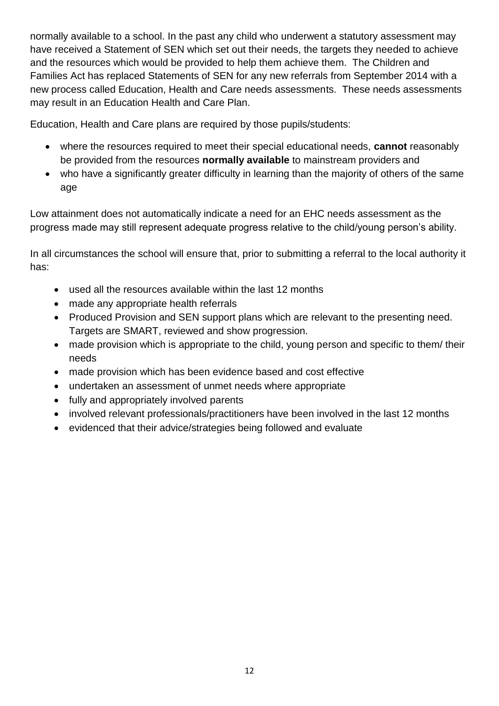normally available to a school. In the past any child who underwent a statutory assessment may have received a Statement of SEN which set out their needs, the targets they needed to achieve and the resources which would be provided to help them achieve them. The Children and Families Act has replaced Statements of SEN for any new referrals from September 2014 with a new process called Education, Health and Care needs assessments. These needs assessments may result in an Education Health and Care Plan.

Education, Health and Care plans are required by those pupils/students:

- where the resources required to meet their special educational needs, **cannot** reasonably be provided from the resources **normally available** to mainstream providers and
- who have a significantly greater difficulty in learning than the majority of others of the same age

Low attainment does not automatically indicate a need for an EHC needs assessment as the progress made may still represent adequate progress relative to the child/young person's ability.

In all circumstances the school will ensure that, prior to submitting a referral to the local authority it has:

- used all the resources available within the last 12 months
- made any appropriate health referrals
- Produced Provision and SEN support plans which are relevant to the presenting need. Targets are SMART, reviewed and show progression.
- made provision which is appropriate to the child, young person and specific to them/ their needs
- made provision which has been evidence based and cost effective
- undertaken an assessment of unmet needs where appropriate
- fully and appropriately involved parents
- involved relevant professionals/practitioners have been involved in the last 12 months
- evidenced that their advice/strategies being followed and evaluate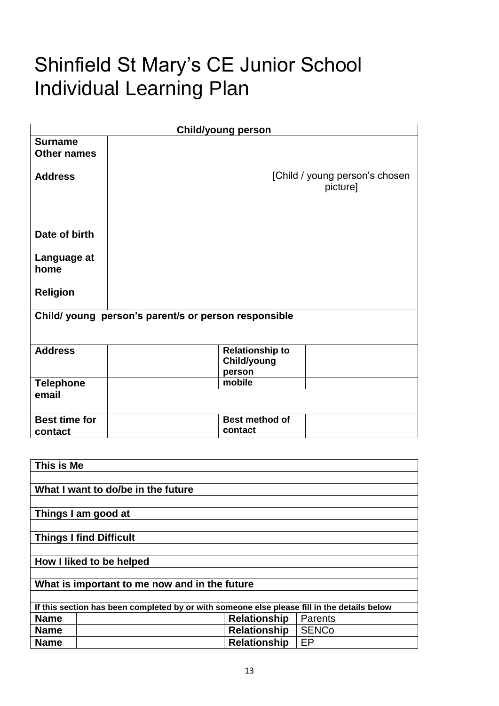### Shinfield St Mary's CE Junior School Individual Learning Plan

| <b>Child/young person</b>                            |                                                        |  |  |  |  |
|------------------------------------------------------|--------------------------------------------------------|--|--|--|--|
| <b>Surname</b><br><b>Other names</b>                 |                                                        |  |  |  |  |
| <b>Address</b>                                       | [Child / young person's chosen<br>picture]             |  |  |  |  |
| Date of birth                                        |                                                        |  |  |  |  |
| Language at<br>home                                  |                                                        |  |  |  |  |
| <b>Religion</b>                                      |                                                        |  |  |  |  |
| Child/ young person's parent/s or person responsible |                                                        |  |  |  |  |
| <b>Address</b>                                       | <b>Relationship to</b><br><b>Child/young</b><br>person |  |  |  |  |
| <b>Telephone</b>                                     | mobile                                                 |  |  |  |  |
| email                                                |                                                        |  |  |  |  |
| <b>Best time for</b>                                 | <b>Best method of</b>                                  |  |  |  |  |
| contact                                              | contact                                                |  |  |  |  |

| This is Me                                                                                  |                                    |                     |              |  |  |  |
|---------------------------------------------------------------------------------------------|------------------------------------|---------------------|--------------|--|--|--|
|                                                                                             |                                    |                     |              |  |  |  |
|                                                                                             | What I want to do/be in the future |                     |              |  |  |  |
|                                                                                             |                                    |                     |              |  |  |  |
|                                                                                             | Things I am good at                |                     |              |  |  |  |
|                                                                                             |                                    |                     |              |  |  |  |
|                                                                                             | <b>Things I find Difficult</b>     |                     |              |  |  |  |
|                                                                                             |                                    |                     |              |  |  |  |
|                                                                                             | How I liked to be helped           |                     |              |  |  |  |
|                                                                                             |                                    |                     |              |  |  |  |
| What is important to me now and in the future                                               |                                    |                     |              |  |  |  |
|                                                                                             |                                    |                     |              |  |  |  |
| If this section has been completed by or with someone else please fill in the details below |                                    |                     |              |  |  |  |
| <b>Name</b>                                                                                 |                                    | <b>Relationship</b> | Parents      |  |  |  |
| <b>Name</b>                                                                                 |                                    | <b>Relationship</b> | <b>SENCo</b> |  |  |  |
| <b>Name</b>                                                                                 |                                    | <b>Relationship</b> | EP           |  |  |  |
|                                                                                             |                                    |                     |              |  |  |  |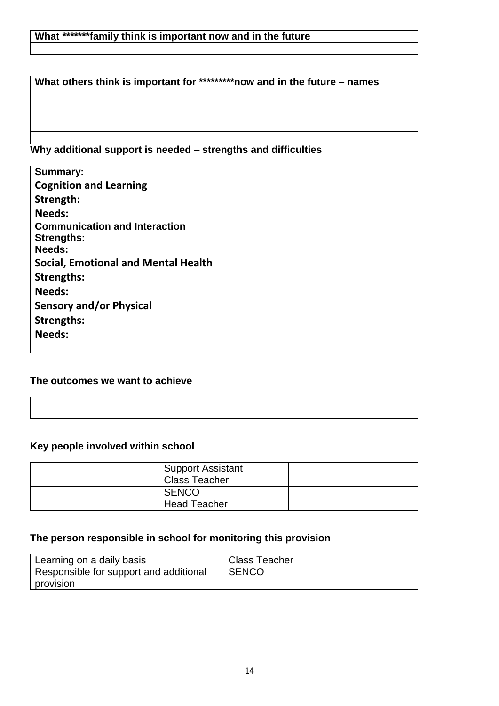#### **What others think is important for \*\*\*\*\*\*\*\*\*now and in the future – names**

#### **Why additional support is needed – strengths and difficulties**

| <b>Summary:</b>                            |
|--------------------------------------------|
| <b>Cognition and Learning</b>              |
| Strength:                                  |
| <b>Needs:</b>                              |
| <b>Communication and Interaction</b>       |
| <b>Strengths:</b>                          |
| Needs:                                     |
| <b>Social, Emotional and Mental Health</b> |
| Strengths:                                 |
| <b>Needs:</b>                              |
| <b>Sensory and/or Physical</b>             |
| Strengths:                                 |
| <b>Needs:</b>                              |
|                                            |

#### **The outcomes we want to achieve**

#### **Key people involved within school**

| <b>Support Assistant</b> |  |
|--------------------------|--|
| <b>Class Teacher</b>     |  |
| SENCO                    |  |
| <b>Head Teacher</b>      |  |

#### **The person responsible in school for monitoring this provision**

| ' Learning on a daily basis            | <b>Class Teacher</b> |
|----------------------------------------|----------------------|
| Responsible for support and additional | <b>SENCO</b>         |
| provision                              |                      |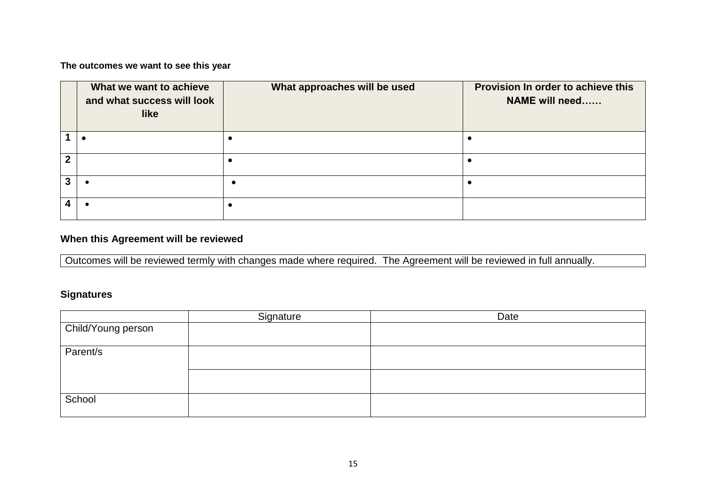**The outcomes we want to see this year**

|   | What we want to achieve<br>and what success will look<br><b>like</b> | What approaches will be used | Provision In order to achieve this<br><b>NAME will need</b> |
|---|----------------------------------------------------------------------|------------------------------|-------------------------------------------------------------|
|   |                                                                      |                              |                                                             |
| ົ |                                                                      |                              |                                                             |
| 3 |                                                                      |                              |                                                             |
|   |                                                                      |                              |                                                             |

#### **When this Agreement will be reviewed**

Outcomes will be reviewed termly with changes made where required. The Agreement will be reviewed in full annually.

#### **Signatures**

|                                 | Signature | Date |
|---------------------------------|-----------|------|
| <sub>I</sub> Child/Young person |           |      |
| Parent/s                        |           |      |
|                                 |           |      |
| School                          |           |      |